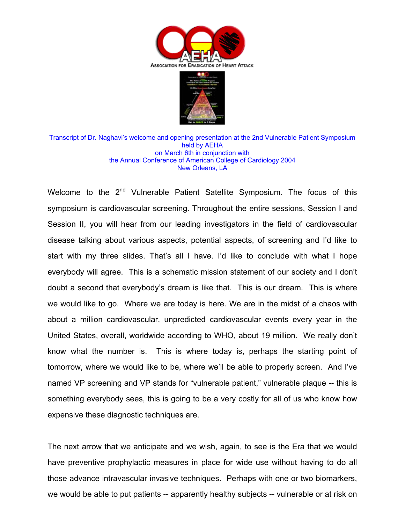



Transcript of Dr. Naghavi's welcome and opening presentation at the 2nd Vulnerable Patient Symposium held by AEHA on March 6th in conjunction with the Annual Conference of American College of Cardiology 2004 New Orleans, LA

Welcome to the 2<sup>nd</sup> Vulnerable Patient Satellite Symposium. The focus of this symposium is cardiovascular screening. Throughout the entire sessions, Session I and Session II, you will hear from our leading investigators in the field of cardiovascular disease talking about various aspects, potential aspects, of screening and I'd like to start with my three slides. That's all I have. I'd like to conclude with what I hope everybody will agree. This is a schematic mission statement of our society and I don't doubt a second that everybody's dream is like that. This is our dream. This is where we would like to go. Where we are today is here. We are in the midst of a chaos with about a million cardiovascular, unpredicted cardiovascular events every year in the United States, overall, worldwide according to WHO, about 19 million. We really don't know what the number is. This is where today is, perhaps the starting point of tomorrow, where we would like to be, where we'll be able to properly screen. And I've named VP screening and VP stands for "vulnerable patient," vulnerable plaque -- this is something everybody sees, this is going to be a very costly for all of us who know how expensive these diagnostic techniques are.

The next arrow that we anticipate and we wish, again, to see is the Era that we would have preventive prophylactic measures in place for wide use without having to do all those advance intravascular invasive techniques. Perhaps with one or two biomarkers, we would be able to put patients -- apparently healthy subjects -- vulnerable or at risk on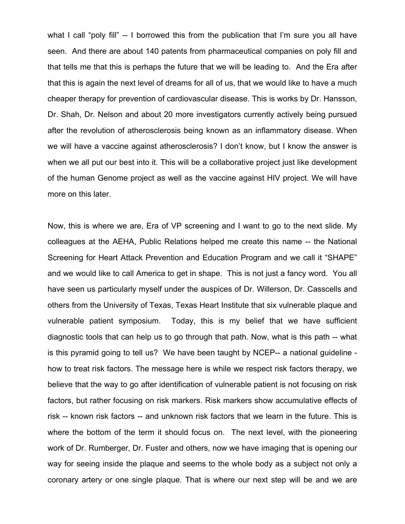what I call "poly fill" -- I borrowed this from the publication that I'm sure you all have seen. And there are about 140 patents from pharmaceutical companies on poly fill and that tells me that this is perhaps the future that we will be leading to. And the Era after that this is again the next level of dreams for all of us, that we would like to have a much cheaper therapy for prevention of cardiovascular disease. This is works by Dr. Hansson, Dr. Shah, Dr. Nelson and about 20 more investigators currently actively being pursued after the revolution of atherosclerosis being known as an inflammatory disease. When we will have a vaccine against atherosclerosis? I don't know, but I know the answer is when we all put our best into it. This will be a collaborative project just like development of the human Genome project as well as the vaccine against HIV project. We will have more on this later.

Now, this is where we are, Era of VP screening and I want to go to the next slide. My colleagues at the AEHA, Public Relations helped me create this name -- the National Screening for Heart Attack Prevention and Education Program and we call it "SHAPE" and we would like to call America to get in shape. This is not just a fancy word. You all have seen us particularly myself under the auspices of Dr. Willerson, Dr. Casscells and others from the University of Texas, Texas Heart Institute that six vulnerable plaque and vulnerable patient symposium. Today, this is my belief that we have sufficient diagnostic tools that can help us to go through that path. Now, what is this path -- what is this pyramid going to tell us? We have been taught by NCEP-- a national guideline how to treat risk factors. The message here is while we respect risk factors therapy, we believe that the way to go after identification of vulnerable patient is not focusing on risk factors, but rather focusing on risk markers. Risk markers show accumulative effects of risk -- known risk factors -- and unknown risk factors that we learn in the future. This is where the bottom of the term it should focus on. The next level, with the pioneering work of Dr. Rumberger, Dr. Fuster and others, now we have imaging that is opening our way for seeing inside the plaque and seems to the whole body as a subject not only a coronary artery or one single plaque. That is where our next step will be and we are